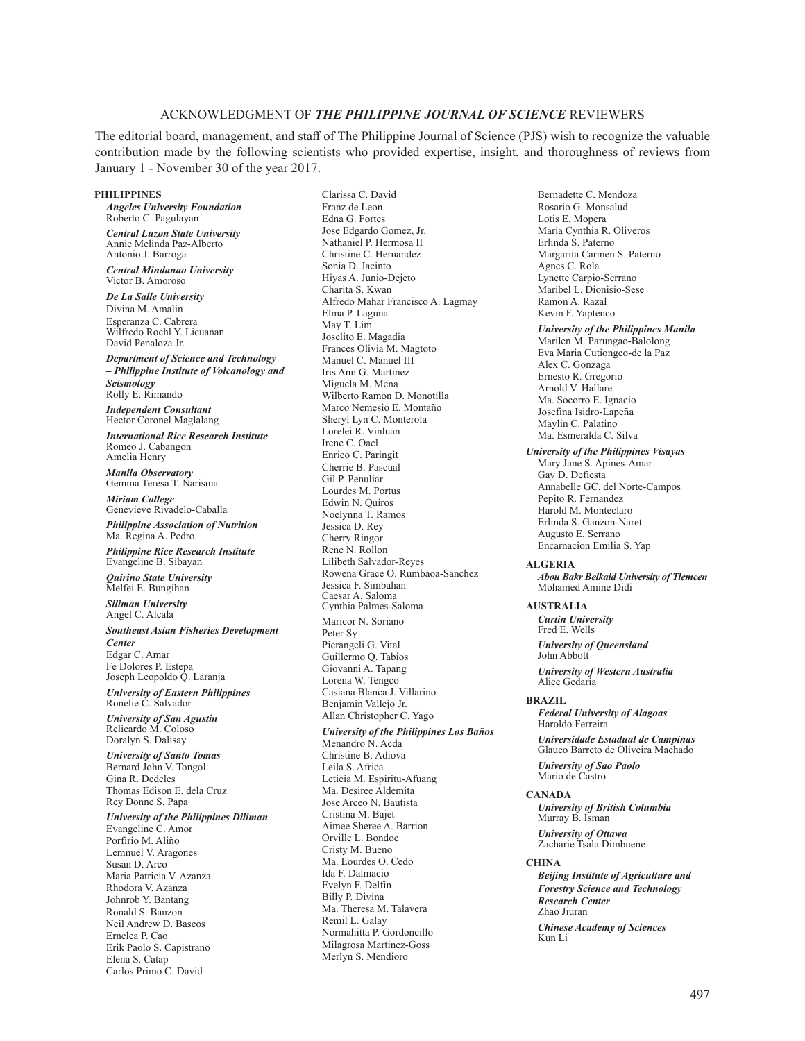# ACKNOWLEDGMENT OF *THE PHILIPPINE JOURNAL OF SCIENCE* REVIEWERS

The editorial board, management, and staff of The Philippine Journal of Science (PJS) wish to recognize the valuable contribution made by the following scientists who provided expertise, insight, and thoroughness of reviews from January 1 - November 30 of the year 2017.

Clarissa C. David

#### **PHILIPPINES**

*Angeles University Foundation* Roberto C. Pagulayan

*Central Luzon State University* Annie Melinda Paz-Alberto Antonio J. Barroga

*Central Mindanao University* Victor B. Amoroso

*De La Salle University* Divina M. Amalin Esperanza C. Cabrera Wilfredo Roehl Y. Licuanan David Penaloza Jr.

*Department of Science and Technology – Philippine Institute of Volcanology and Seismology* Rolly E. Rimando

*Independent Consultant* Hector Coronel Maglalang

*International Rice Research Institute* Romeo J. Cabangon Amelia Henry

*Manila Observatory* Gemma Teresa T. Narisma

*Miriam College* Genevieve Rivadelo-Caballa *Philippine Association of Nutrition* Ma. Regina A. Pedro

*Philippine Rice Research Institute* Evangeline B. Sibayan

*Quirino State University* Melfei E. Bungihan

*Siliman University* Angel C. Alcala

*Southeast Asian Fisheries Development Center* Edgar C. Amar Fe Dolores P. Estepa Joseph Leopoldo Q. Laranja

*University of Eastern Philippines* Ronelie C. Salvador

*University of San Agustin* Relicardo M. Coloso Doralyn S. Dalisay

*University of Santo Tomas* Bernard John V. Tongol Gina R. Dedeles Thomas Edison E. dela Cruz Rey Donne S. Papa

*University of the Philippines Diliman*

Evangeline C. Amor Porfirio M. Aliño Lemnuel V. Aragones Susan D. Arco Maria Patricia V. Azanza Rhodora V. Azanza Johnrob Y. Bantang Ronald S. Banzon Neil Andrew D. Bascos Ernelea P. Cao Erik Paolo S. Capistrano Elena S. Catap Carlos Primo C. David

Franz de Leon Edna G. Fortes Jose Edgardo Gomez, Jr. Nathaniel P. Hermosa II Christine C. Hernandez Sonia D. Jacinto Hiyas A. Junio-Dejeto Charita S. Kwan Alfredo Mahar Francisco A. Lagmay Elma P. Laguna May T. Lim Joselito E. Magadia Frances Olivia M. Magtoto Manuel C. Manuel III Iris Ann G. Martinez Miguela M. Mena Wilberto Ramon D. Monotilla Marco Nemesio E. Montaño Sheryl Lyn C. Monterola Lorelei R. Vinluan Irene C. Oael Enrico C. Paringit Cherrie B. Pascual Gil P. Penuliar Lourdes M. Portus Edwin N. Quiros Noelynna T. Ramos Jessica D. Rey Cherry Ringor Rene N. Rollon Lilibeth Salvador-Reyes Rowena Grace O. Rumbaoa-Sanchez Jessica F. Simbahan Caesar A. Saloma Cynthia Palmes-Saloma Maricor N. Soriano Peter Sy Pierangeli G. Vital Guillermo Q. Tabios Giovanni A. Tapang Lorena W. Tengco Casiana Blanca J. Villarino Benjamin Vallejo Jr. Allan Christopher C. Yago *University of the Philippines Los Baños* Menandro N. Acda Christine B. Adiova

Leila S. Africa Leticia M. Espiritu-Afuang Ma. Desiree Aldemita Jose Arceo N. Bautista Cristina M. Bajet Aimee Sheree A. Barrion Orville L. Bondoc Cristy M. Bueno Ma. Lourdes O. Cedo Ida F. Dalmacio Evelyn F. Delfin Billy P. Divina Ma. Theresa M. Talavera Remil L. Galay Normahitta P. Gordoncillo Milagrosa Martinez-Goss Merlyn S. Mendioro

Bernadette C. Mendoza Rosario G. Monsalud Lotis E. Mopera Maria Cynthia R. Oliveros Erlinda S. Paterno Margarita Carmen S. Paterno Agnes C. Rola Lynette Carpio-Serrano Maribel L. Dionisio-Sese Ramon A. Razal Kevin F. Yaptenco *University of the Philippines Manila* Marilen M. Parungao-Balolong Eva Maria Cutiongco-de la Paz Alex C. Gonzaga Ernesto R. Gregorio Arnold V. Hallare Ma. Socorro E. Ignacio Josefina Isidro-Lapeña Maylin C. Palatino Ma. Esmeralda C. Silva *University of the Philippines Visayas* Mary Jane S. Apines-Amar Gay D. Defiesta Annabelle GC. del Norte-Campos Pepito R. Fernandez Harold M. Monteclaro Erlinda S. Ganzon-Naret Augusto E. Serrano Encarnacion Emilia S. Yap **ALGERIA** *Abou Bakr Belkaid University of Tlemcen* Mohamed Amine Didi **AUSTRALIA** *Curtin University* Fred E. Wells *University of Queensland* John Abbott *University of Western Australia* Alice Gedaria **BRAZIL** *Federal University of Alagoas* Haroldo Ferreira *Universidade Estadual de Campinas* Glauco Barreto de Oliveira Machado *University of Sao Paolo* Mario de Castro **CANADA** *University of British Columbia*

Murray B. Isman *University of Ottawa* Zacharie Tsala Dimbuene

## **CHINA**

*Beijing Institute of Agriculture and Forestry Science and Technology Research Center* Zhao Jiuran

*Chinese Academy of Sciences* Kun Li